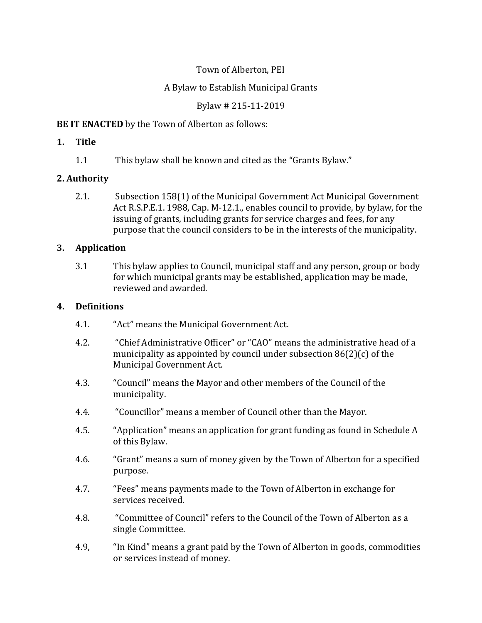# Town of Alberton, PEI

# A Bylaw to Establish Municipal Grants

# Bylaw # 215-11-2019

# **BE IT ENACTED** by the Town of Alberton as follows:

### **1. Title**

1.1 This bylaw shall be known and cited as the "Grants Bylaw."

# **2. Authority**

2.1. Subsection 158(1) of the Municipal Government Act Municipal Government Act R.S.P.E.1. 1988, Cap. M-12.1., enables council to provide, by bylaw, for the issuing of grants, including grants for service charges and fees, for any purpose that the council considers to be in the interests of the municipality.

# **3. Application**

3.1 This bylaw applies to Council, municipal staff and any person, group or body for which municipal grants may be established, application may be made, reviewed and awarded.

# **4. Definitions**

- 4.1. "Act" means the Municipal Government Act.
- 4.2. "Chief Administrative Officer" or "CAO" means the administrative head of a municipality as appointed by council under subsection 86(2)(c) of the Municipal Government Act.
- 4.3. "Council" means the Mayor and other members of the Council of the municipality.
- 4.4. "Councillor" means a member of Council other than the Mayor.
- 4.5. "Application" means an application for grant funding as found in Schedule A of this Bylaw.
- 4.6. "Grant" means a sum of money given by the Town of Alberton for a specified purpose.
- 4.7. "Fees" means payments made to the Town of Alberton in exchange for services received.
- 4.8. "Committee of Council" refers to the Council of the Town of Alberton as a single Committee.
- 4.9, "In Kind" means a grant paid by the Town of Alberton in goods, commodities or services instead of money.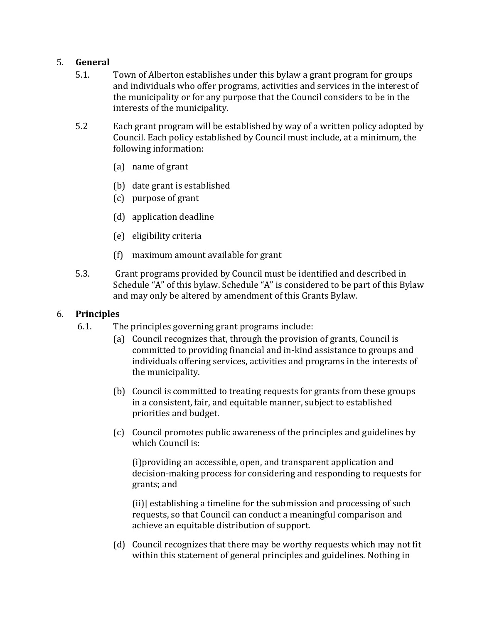### 5. **General**

- 5.1. Town of Alberton establishes under this bylaw a grant program for groups and individuals who offer programs, activities and services in the interest of the municipality or for any purpose that the Council considers to be in the interests of the municipality.
- 5.2 Each grant program will be established by way of a written policy adopted by Council. Each policy established by Council must include, at a minimum, the following information:
	- (a) name of grant
	- (b) date grant is established
	- (c) purpose of grant
	- (d) application deadline
	- (e) eligibility criteria
	- (f) maximum amount available for grant
- 5.3. Grant programs provided by Council must be identified and described in Schedule "A" of this bylaw. Schedule "A" is considered to be part of this Bylaw and may only be altered by amendment of this Grants Bylaw.

#### 6. **Principles**

- 6.1. The principles governing grant programs include:
	- (a) Council recognizes that, through the provision of grants, Council is committed to providing financial and in-kind assistance to groups and individuals offering services, activities and programs in the interests of the municipality.
	- (b) Council is committed to treating requests for grants from these groups in a consistent, fair, and equitable manner, subject to established priorities and budget.
	- (c) Council promotes public awareness of the principles and guidelines by which Council is:

(i)providing an accessible, open, and transparent application and decision-making process for considering and responding to requests for grants; and

(ii)| establishing a timeline for the submission and processing of such requests, so that Council can conduct a meaningful comparison and achieve an equitable distribution of support.

(d) Council recognizes that there may be worthy requests which may not fit within this statement of general principles and guidelines. Nothing in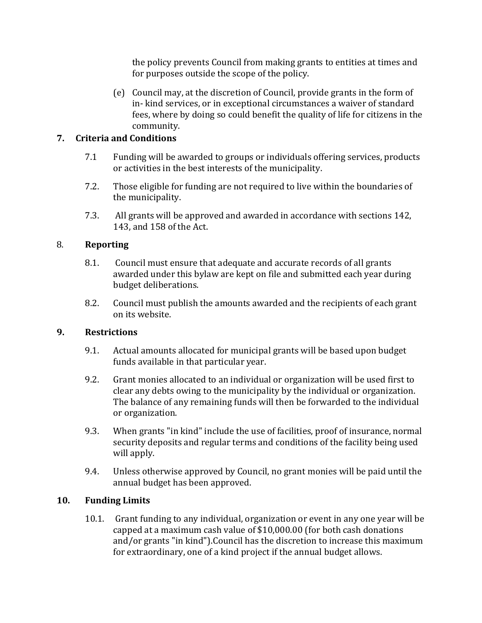the policy prevents Council from making grants to entities at times and for purposes outside the scope of the policy.

(e) Council may, at the discretion of Council, provide grants in the form of in- kind services, or in exceptional circumstances a waiver of standard fees, where by doing so could benefit the quality of life for citizens in the community.

# **7. Criteria and Conditions**

- 7.1 Funding will be awarded to groups or individuals offering services, products or activities in the best interests of the municipality.
- 7.2. Those eligible for funding are not required to live within the boundaries of the municipality.
- 7.3. All grants will be approved and awarded in accordance with sections 142, 143, and 158 of the Act.

# 8. **Reporting**

- 8.1. Council must ensure that adequate and accurate records of all grants awarded under this bylaw are kept on file and submitted each year during budget deliberations.
- 8.2. Council must publish the amounts awarded and the recipients of each grant on its website.

# **9. Restrictions**

- 9.1. Actual amounts allocated for municipal grants will be based upon budget funds available in that particular year.
- 9.2. Grant monies allocated to an individual or organization will be used first to clear any debts owing to the municipality by the individual or organization. The balance of any remaining funds will then be forwarded to the individual or organization.
- 9.3. When grants "in kind" include the use of facilities, proof of insurance, normal security deposits and regular terms and conditions of the facility being used will apply.
- 9.4. Unless otherwise approved by Council, no grant monies will be paid until the annual budget has been approved.

# **10. Funding Limits**

10.1. Grant funding to any individual, organization or event in any one year will be capped at a maximum cash value of \$10,000.00 (for both cash donations and/or grants "in kind").Council has the discretion to increase this maximum for extraordinary, one of a kind project if the annual budget allows.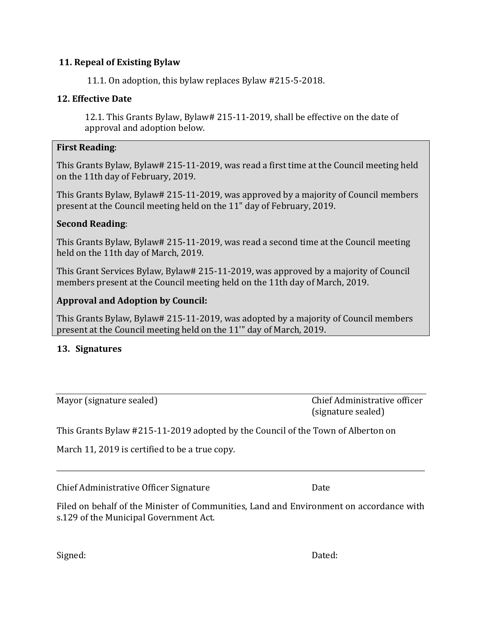### **11. Repeal of Existing Bylaw**

11.1. On adoption, this bylaw replaces Bylaw #215-5-2018.

#### **12. Effective Date**

12.1. This Grants Bylaw, Bylaw# 215-11-2019, shall be effective on the date of approval and adoption below.

#### **First Reading**:

This Grants Bylaw, Bylaw# 215-11-2019, was read a first time at the Council meeting held on the 11th day of February, 2019.

This Grants Bylaw, Bylaw# 215-11-2019, was approved by a majority of Council members present at the Council meeting held on the 11" day of February, 2019.

#### **Second Reading**:

This Grants Bylaw, Bylaw# 215-11-2019, was read a second time at the Council meeting held on the 11th day of March, 2019.

This Grant Services Bylaw, Bylaw# 215-11-2019, was approved by a majority of Council members present at the Council meeting held on the 11th day of March, 2019.

#### **Approval and Adoption by Council:**

This Grants Bylaw, Bylaw# 215-11-2019, was adopted by a majority of Council members present at the Council meeting held on the 11'" day of March, 2019.

#### **13. Signatures**

Mayor (signature sealed) Chief Administrative officer (signature sealed)

This Grants Bylaw #215-11-2019 adopted by the Council of the Town of Alberton on

March 11, 2019 is certified to be a true copy.

Chief Administrative Officer Signature **Date** Date

Filed on behalf of the Minister of Communities, Land and Environment on accordance with s.129 of the Municipal Government Act.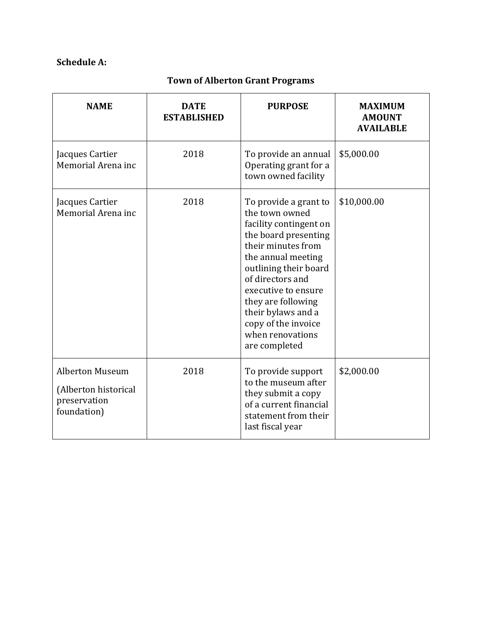# **Schedule A:**

| <b>NAME</b>                                                                   | <b>DATE</b><br><b>ESTABLISHED</b> | <b>PURPOSE</b>                                                                                                                                                                                                                                                                                                    | <b>MAXIMUM</b><br><b>AMOUNT</b><br><b>AVAILABLE</b> |
|-------------------------------------------------------------------------------|-----------------------------------|-------------------------------------------------------------------------------------------------------------------------------------------------------------------------------------------------------------------------------------------------------------------------------------------------------------------|-----------------------------------------------------|
| Jacques Cartier<br>Memorial Arena inc                                         | 2018                              | To provide an annual<br>Operating grant for a<br>town owned facility                                                                                                                                                                                                                                              | \$5,000.00                                          |
| Jacques Cartier<br>Memorial Arena inc                                         | 2018                              | To provide a grant to<br>the town owned<br>facility contingent on<br>the board presenting<br>their minutes from<br>the annual meeting<br>outlining their board<br>of directors and<br>executive to ensure<br>they are following<br>their bylaws and a<br>copy of the invoice<br>when renovations<br>are completed | \$10,000.00                                         |
| <b>Alberton Museum</b><br>(Alberton historical<br>preservation<br>foundation) | 2018                              | To provide support<br>to the museum after<br>they submit a copy<br>of a current financial<br>statement from their<br>last fiscal year                                                                                                                                                                             | \$2,000.00                                          |

# **Town of Alberton Grant Programs**